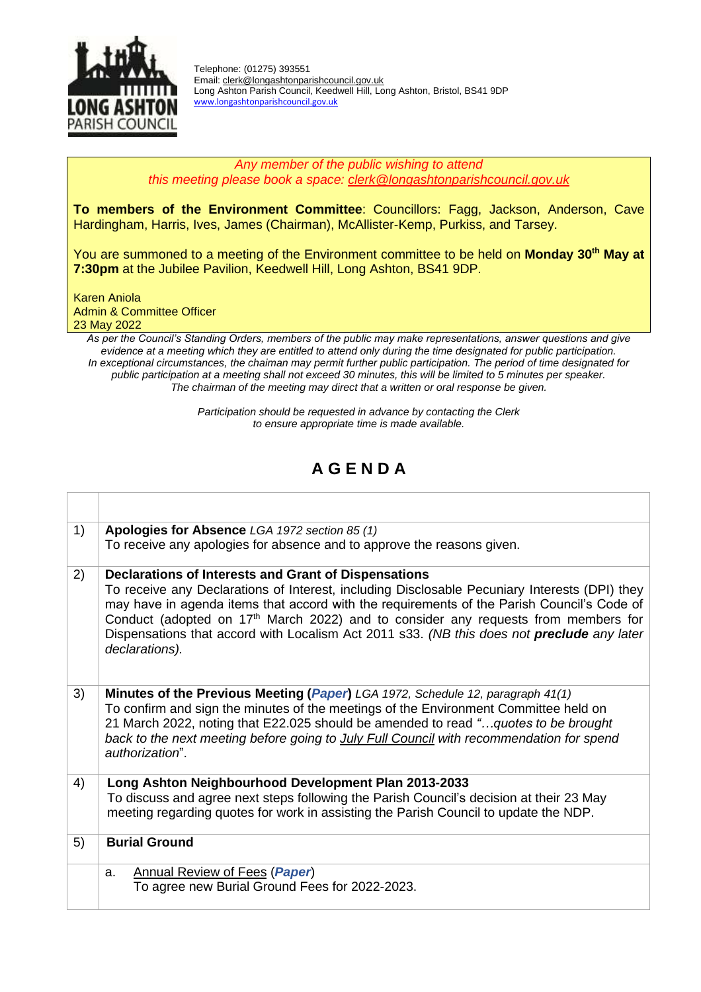

Telephone: (01275) 393551 Email: [clerk@longashtonparishcouncil.gov.uk](mailto:clerk@longashtonparishcouncil.gov.uk) Long Ashton Parish Council, Keedwell Hill, Long Ashton, Bristol, BS41 9DP [www.longashtonparishcouncil.gov.uk](http://www.longashtonparishcouncil.gov.uk/) 

## *Any member of the public wishing to attend this meeting please book a space: [clerk@longashtonparishcouncil.gov.uk](mailto:clerk@longashtonparishcouncil.gov.uk)*

**To members of the Environment Committee**: Councillors: Fagg, Jackson, Anderson, Cave Hardingham, Harris, Ives, James (Chairman), McAllister-Kemp, Purkiss, and Tarsey.

You are summoned to a meeting of the Environment committee to be held on **Monday 30th May at 7:30pm** at the Jubilee Pavilion, Keedwell Hill, Long Ashton, BS41 9DP.

Karen Aniola Admin & Committee Officer 23 May 2022

*As per the Council's Standing Orders, members of the public may make representations, answer questions and give*  evidence at a meeting which they are entitled to attend only during the time designated for public participation. *In exceptional circumstances, the chaiman may permit further public participation. The period of time designated for public participation at a meeting shall not exceed 30 minutes, this will be limited to 5 minutes per speaker. The chairman of the meeting may direct that a written or oral response be given.*

> *Participation should be requested in advance by contacting the Clerk to ensure appropriate time is made available.*

## **A G E N D A**

| 1) | Apologies for Absence LGA 1972 section 85 (1)                                                                                                                                                                                                                                                                                                                                                                                                                         |
|----|-----------------------------------------------------------------------------------------------------------------------------------------------------------------------------------------------------------------------------------------------------------------------------------------------------------------------------------------------------------------------------------------------------------------------------------------------------------------------|
|    | To receive any apologies for absence and to approve the reasons given.                                                                                                                                                                                                                                                                                                                                                                                                |
| 2) | Declarations of Interests and Grant of Dispensations<br>To receive any Declarations of Interest, including Disclosable Pecuniary Interests (DPI) they<br>may have in agenda items that accord with the requirements of the Parish Council's Code of<br>Conduct (adopted on 17 <sup>th</sup> March 2022) and to consider any requests from members for<br>Dispensations that accord with Localism Act 2011 s33. (NB this does not preclude any later<br>declarations). |
| 3) | Minutes of the Previous Meeting (Paper) LGA 1972, Schedule 12, paragraph 41(1)<br>To confirm and sign the minutes of the meetings of the Environment Committee held on<br>21 March 2022, noting that E22.025 should be amended to read "quotes to be brought<br>back to the next meeting before going to July Full Council with recommendation for spend<br>authorization".                                                                                           |
| 4) | Long Ashton Neighbourhood Development Plan 2013-2033<br>To discuss and agree next steps following the Parish Council's decision at their 23 May<br>meeting regarding quotes for work in assisting the Parish Council to update the NDP.                                                                                                                                                                                                                               |
| 5) | <b>Burial Ground</b>                                                                                                                                                                                                                                                                                                                                                                                                                                                  |
|    | <b>Annual Review of Fees (Paper)</b><br>a.<br>To agree new Burial Ground Fees for 2022-2023.                                                                                                                                                                                                                                                                                                                                                                          |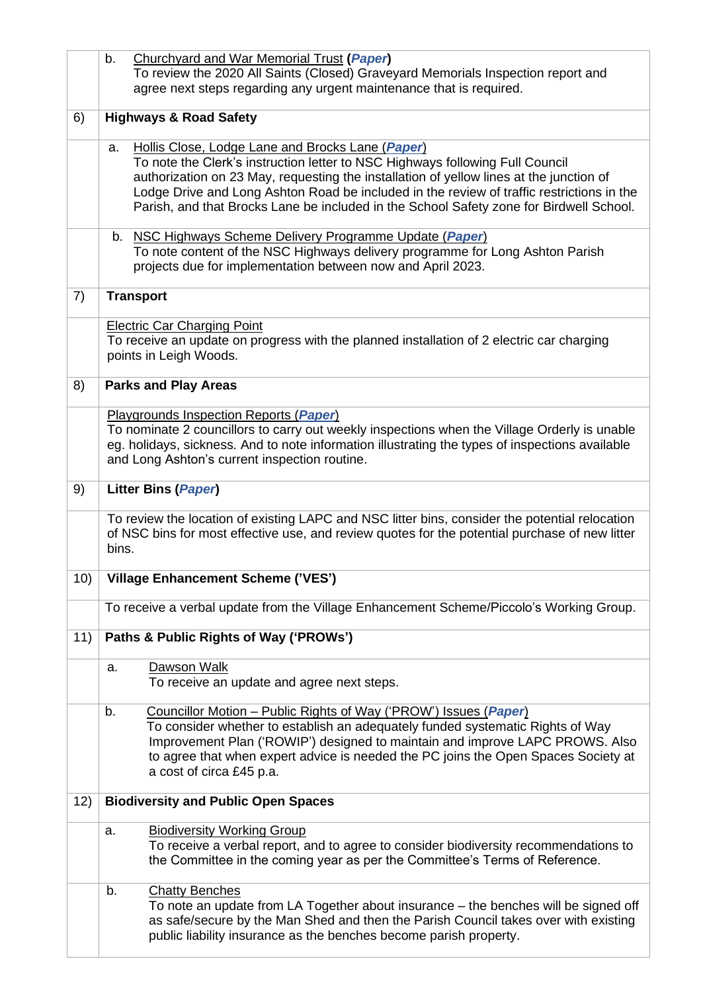|     | Churchyard and War Memorial Trust (Paper)<br>b.<br>To review the 2020 All Saints (Closed) Graveyard Memorials Inspection report and                                                                                                                                                                                                                                                                                        |
|-----|----------------------------------------------------------------------------------------------------------------------------------------------------------------------------------------------------------------------------------------------------------------------------------------------------------------------------------------------------------------------------------------------------------------------------|
|     | agree next steps regarding any urgent maintenance that is required.                                                                                                                                                                                                                                                                                                                                                        |
| 6)  | <b>Highways &amp; Road Safety</b>                                                                                                                                                                                                                                                                                                                                                                                          |
|     | Hollis Close, Lodge Lane and Brocks Lane (Paper)<br>a.<br>To note the Clerk's instruction letter to NSC Highways following Full Council<br>authorization on 23 May, requesting the installation of yellow lines at the junction of<br>Lodge Drive and Long Ashton Road be included in the review of traffic restrictions in the<br>Parish, and that Brocks Lane be included in the School Safety zone for Birdwell School. |
|     | b. NSC Highways Scheme Delivery Programme Update (Paper)<br>To note content of the NSC Highways delivery programme for Long Ashton Parish<br>projects due for implementation between now and April 2023.                                                                                                                                                                                                                   |
| 7)  | <b>Transport</b>                                                                                                                                                                                                                                                                                                                                                                                                           |
|     | <b>Electric Car Charging Point</b><br>To receive an update on progress with the planned installation of 2 electric car charging<br>points in Leigh Woods.                                                                                                                                                                                                                                                                  |
| 8)  | <b>Parks and Play Areas</b>                                                                                                                                                                                                                                                                                                                                                                                                |
|     | Playgrounds Inspection Reports (Paper)<br>To nominate 2 councillors to carry out weekly inspections when the Village Orderly is unable<br>eg. holidays, sickness. And to note information illustrating the types of inspections available<br>and Long Ashton's current inspection routine.                                                                                                                                 |
| 9)  | <b>Litter Bins (Paper)</b>                                                                                                                                                                                                                                                                                                                                                                                                 |
|     | To review the location of existing LAPC and NSC litter bins, consider the potential relocation<br>of NSC bins for most effective use, and review quotes for the potential purchase of new litter<br>bins.                                                                                                                                                                                                                  |
| 10) | <b>Village Enhancement Scheme ('VES')</b>                                                                                                                                                                                                                                                                                                                                                                                  |
|     | To receive a verbal update from the Village Enhancement Scheme/Piccolo's Working Group.                                                                                                                                                                                                                                                                                                                                    |
| 11) | Paths & Public Rights of Way ('PROWs')                                                                                                                                                                                                                                                                                                                                                                                     |
|     | Dawson Walk<br>a.<br>To receive an update and agree next steps.                                                                                                                                                                                                                                                                                                                                                            |
|     | Councillor Motion - Public Rights of Way ('PROW') Issues (Paper)<br>b.<br>To consider whether to establish an adequately funded systematic Rights of Way<br>Improvement Plan ('ROWIP') designed to maintain and improve LAPC PROWS. Also<br>to agree that when expert advice is needed the PC joins the Open Spaces Society at<br>a cost of circa £45 p.a.                                                                 |
| 12) | <b>Biodiversity and Public Open Spaces</b>                                                                                                                                                                                                                                                                                                                                                                                 |
|     | <b>Biodiversity Working Group</b><br>a.<br>To receive a verbal report, and to agree to consider biodiversity recommendations to<br>the Committee in the coming year as per the Committee's Terms of Reference.                                                                                                                                                                                                             |
|     | <b>Chatty Benches</b><br>b.<br>To note an update from LA Together about insurance – the benches will be signed off<br>as safe/secure by the Man Shed and then the Parish Council takes over with existing<br>public liability insurance as the benches become parish property.                                                                                                                                             |